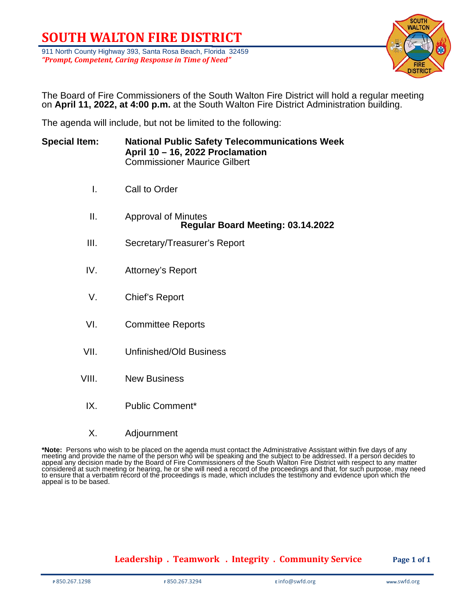# **SOUTH WALTON FIRE DISTRICT**

911 North County Highway 393, Santa Rosa Beach, Florida 32459 *"Prompt, Competent, Caring Response in Time of Need"*



The Board of Fire Commissioners of the South Walton Fire District will hold a regular meeting on **April 11, 2022, at 4:00 p.m.** at the South Walton Fire District Administration building.

The agenda will include, but not be limited to the following:

| <b>Special Item:</b> | <b>National Public Safety Telecommunications Week</b><br>April 10 - 16, 2022 Proclamation<br><b>Commissioner Maurice Gilbert</b> |
|----------------------|----------------------------------------------------------------------------------------------------------------------------------|
| Τ.                   | Call to Order                                                                                                                    |
| II.                  | <b>Approval of Minutes</b><br>Regular Board Meeting: 03.14.2022                                                                  |
| III.                 | Secretary/Treasurer's Report                                                                                                     |
| IV.                  | Attorney's Report                                                                                                                |
| V.                   | Chief's Report                                                                                                                   |
| VI.                  | <b>Committee Reports</b>                                                                                                         |
| VII.                 | <b>Unfinished/Old Business</b>                                                                                                   |
| VIII.                | <b>New Business</b>                                                                                                              |
| IX.                  | <b>Public Comment*</b>                                                                                                           |

X. Adjournment

\***Note:** Persons who wish to be placed on the agenda must contact the Administrative Assistant within five days of any<br>meeting and provide the name of the person who will be speaking and the subject to be addressed. If a p appeal any decision made by the Board of Fire Commissioners of the South Walton Fire District with respect to any matter considered at such meeting or hearing, he or she will need a record of the proceedings and that, for such purpose, may need to ensure that a verbatim record of the proceedings is made, which includes the testimony and evidence upon which the appeal is to be based.

## **Leadership . Teamwork . Integrity . Community Service Page 1 of 1**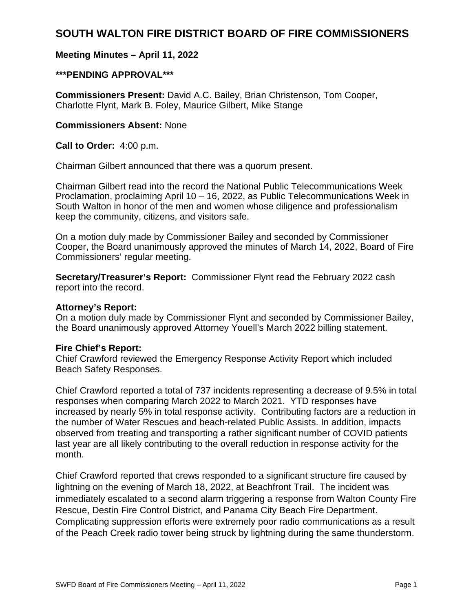# **SOUTH WALTON FIRE DISTRICT BOARD OF FIRE COMMISSIONERS**

# **Meeting Minutes – April 11, 2022**

# **\*\*\*PENDING APPROVAL\*\*\***

**Commissioners Present:** David A.C. Bailey, Brian Christenson, Tom Cooper, Charlotte Flynt, Mark B. Foley, Maurice Gilbert, Mike Stange

# **Commissioners Absent:** None

**Call to Order:** 4:00 p.m.

Chairman Gilbert announced that there was a quorum present.

Chairman Gilbert read into the record the National Public Telecommunications Week Proclamation, proclaiming April 10 – 16, 2022, as Public Telecommunications Week in South Walton in honor of the men and women whose diligence and professionalism keep the community, citizens, and visitors safe.

On a motion duly made by Commissioner Bailey and seconded by Commissioner Cooper, the Board unanimously approved the minutes of March 14, 2022, Board of Fire Commissioners' regular meeting.

**Secretary/Treasurer's Report:** Commissioner Flynt read the February 2022 cash report into the record.

## **Attorney's Report:**

On a motion duly made by Commissioner Flynt and seconded by Commissioner Bailey, the Board unanimously approved Attorney Youell's March 2022 billing statement.

## **Fire Chief's Report:**

Chief Crawford reviewed the Emergency Response Activity Report which included Beach Safety Responses.

Chief Crawford reported a total of 737 incidents representing a decrease of 9.5% in total responses when comparing March 2022 to March 2021. YTD responses have increased by nearly 5% in total response activity. Contributing factors are a reduction in the number of Water Rescues and beach-related Public Assists. In addition, impacts observed from treating and transporting a rather significant number of COVID patients last year are all likely contributing to the overall reduction in response activity for the month.

Chief Crawford reported that crews responded to a significant structure fire caused by lightning on the evening of March 18, 2022, at Beachfront Trail. The incident was immediately escalated to a second alarm triggering a response from Walton County Fire Rescue, Destin Fire Control District, and Panama City Beach Fire Department. Complicating suppression efforts were extremely poor radio communications as a result of the Peach Creek radio tower being struck by lightning during the same thunderstorm.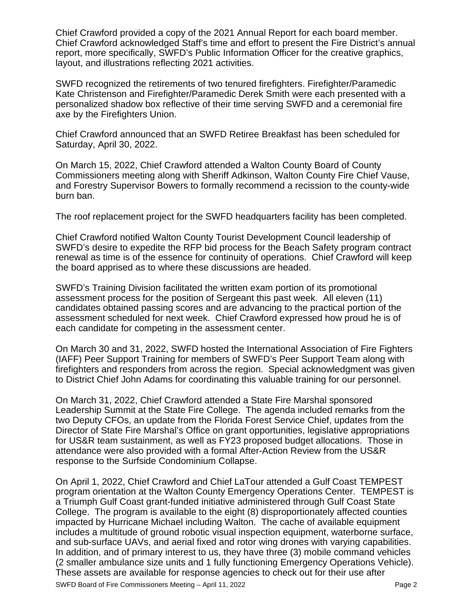Chief Crawford provided a copy of the 2021 Annual Report for each board member. Chief Crawford acknowledged Staff's time and effort to present the Fire District's annual report, more specifically, SWFD's Public Information Officer for the creative graphics, layout, and illustrations reflecting 2021 activities.

SWFD recognized the retirements of two tenured firefighters. Firefighter/Paramedic Kate Christenson and Firefighter/Paramedic Derek Smith were each presented with a personalized shadow box reflective of their time serving SWFD and a ceremonial fire axe by the Firefighters Union.

Chief Crawford announced that an SWFD Retiree Breakfast has been scheduled for Saturday, April 30, 2022.

On March 15, 2022, Chief Crawford attended a Walton County Board of County Commissioners meeting along with Sheriff Adkinson, Walton County Fire Chief Vause, and Forestry Supervisor Bowers to formally recommend a recission to the county-wide burn ban.

The roof replacement project for the SWFD headquarters facility has been completed.

Chief Crawford notified Walton County Tourist Development Council leadership of SWFD's desire to expedite the RFP bid process for the Beach Safety program contract renewal as time is of the essence for continuity of operations. Chief Crawford will keep the board apprised as to where these discussions are headed.

SWFD's Training Division facilitated the written exam portion of its promotional assessment process for the position of Sergeant this past week. All eleven (11) candidates obtained passing scores and are advancing to the practical portion of the assessment scheduled for next week. Chief Crawford expressed how proud he is of each candidate for competing in the assessment center.

On March 30 and 31, 2022, SWFD hosted the International Association of Fire Fighters (IAFF) Peer Support Training for members of SWFD's Peer Support Team along with firefighters and responders from across the region. Special acknowledgment was given to District Chief John Adams for coordinating this valuable training for our personnel.

On March 31, 2022, Chief Crawford attended a State Fire Marshal sponsored Leadership Summit at the State Fire College. The agenda included remarks from the two Deputy CFOs, an update from the Florida Forest Service Chief, updates from the Director of State Fire Marshal's Office on grant opportunities, legislative appropriations for US&R team sustainment, as well as FY23 proposed budget allocations. Those in attendance were also provided with a formal After-Action Review from the US&R response to the Surfside Condominium Collapse.

On April 1, 2022, Chief Crawford and Chief LaTour attended a Gulf Coast TEMPEST program orientation at the Walton County Emergency Operations Center. TEMPEST is a Triumph Gulf Coast grant-funded initiative administered through Gulf Coast State College. The program is available to the eight (8) disproportionately affected counties impacted by Hurricane Michael including Walton. The cache of available equipment includes a multitude of ground robotic visual inspection equipment, waterborne surface, and sub-surface UAVs, and aerial fixed and rotor wing drones with varying capabilities. In addition, and of primary interest to us, they have three (3) mobile command vehicles (2 smaller ambulance size units and 1 fully functioning Emergency Operations Vehicle). These assets are available for response agencies to check out for their use after